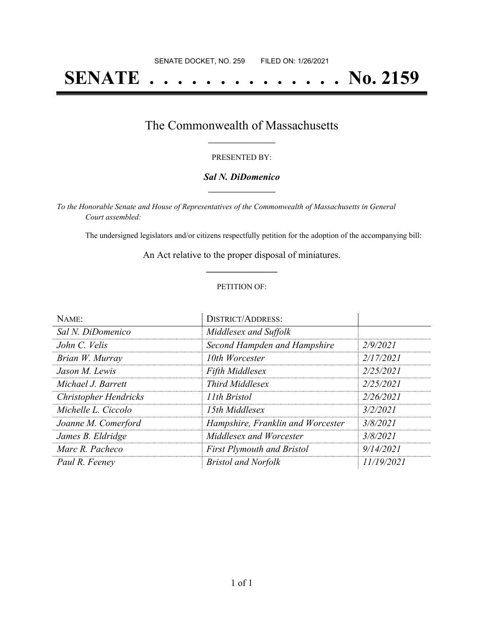# **SENATE . . . . . . . . . . . . . . No. 2159**

### The Commonwealth of Massachusetts **\_\_\_\_\_\_\_\_\_\_\_\_\_\_\_\_\_**

#### PRESENTED BY:

#### *Sal N. DiDomenico* **\_\_\_\_\_\_\_\_\_\_\_\_\_\_\_\_\_**

*To the Honorable Senate and House of Representatives of the Commonwealth of Massachusetts in General Court assembled:*

The undersigned legislators and/or citizens respectfully petition for the adoption of the accompanying bill:

An Act relative to the proper disposal of miniatures. **\_\_\_\_\_\_\_\_\_\_\_\_\_\_\_**

#### PETITION OF:

| NAME:                        | <b>DISTRICT/ADDRESS:</b>          |            |
|------------------------------|-----------------------------------|------------|
| Sal N. DiDomenico            | Middlesex and Suffolk             |            |
| John C. Velis                | Second Hampden and Hampshire      | 2/9/2021   |
| Brian W. Murray              | 10th Worcester                    | 2/17/2021  |
| Jason M. Lewis               | <b>Fifth Middlesex</b>            | 2/25/2021  |
| Michael J. Barrett           | <b>Third Middlesex</b>            | 2/25/2021  |
| <b>Christopher Hendricks</b> | 11th Bristol                      | 2/26/2021  |
| Michelle L. Ciccolo          | 15th Middlesex                    | 3/2/2021   |
| Joanne M. Comerford          | Hampshire, Franklin and Worcester | 3/8/2021   |
| James B. Eldridge            | Middlesex and Worcester           | 3/8/2021   |
| Marc R. Pacheco              | <b>First Plymouth and Bristol</b> | 9/14/2021  |
| Paul R. Feeney               | <b>Bristol and Norfolk</b>        | 11/19/2021 |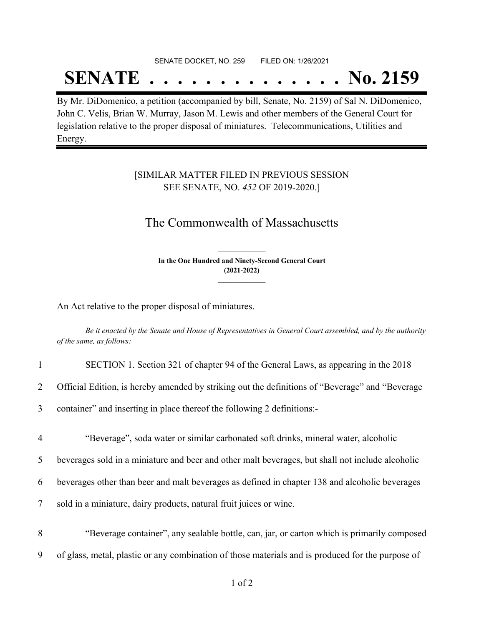#### SENATE DOCKET, NO. 259 FILED ON: 1/26/2021

## **SENATE . . . . . . . . . . . . . . No. 2159**

By Mr. DiDomenico, a petition (accompanied by bill, Senate, No. 2159) of Sal N. DiDomenico, John C. Velis, Brian W. Murray, Jason M. Lewis and other members of the General Court for legislation relative to the proper disposal of miniatures. Telecommunications, Utilities and Energy.

#### [SIMILAR MATTER FILED IN PREVIOUS SESSION SEE SENATE, NO. *452* OF 2019-2020.]

## The Commonwealth of Massachusetts

**In the One Hundred and Ninety-Second General Court (2021-2022) \_\_\_\_\_\_\_\_\_\_\_\_\_\_\_**

**\_\_\_\_\_\_\_\_\_\_\_\_\_\_\_**

An Act relative to the proper disposal of miniatures.

Be it enacted by the Senate and House of Representatives in General Court assembled, and by the authority *of the same, as follows:*

| $\mathbf{1}$   | SECTION 1. Section 321 of chapter 94 of the General Laws, as appearing in the 2018                |
|----------------|---------------------------------------------------------------------------------------------------|
| $\overline{2}$ | Official Edition, is hereby amended by striking out the definitions of "Beverage" and "Beverage"  |
| $\overline{3}$ | container" and inserting in place thereof the following 2 definitions:-                           |
| 4              | "Beverage", soda water or similar carbonated soft drinks, mineral water, alcoholic                |
| 5              | beverages sold in a miniature and beer and other malt beverages, but shall not include alcoholic  |
| 6              | beverages other than beer and malt beverages as defined in chapter 138 and alcoholic beverages    |
| 7              | sold in a miniature, dairy products, natural fruit juices or wine.                                |
| 8              | "Beverage container", any sealable bottle, can, jar, or carton which is primarily composed        |
| 9              | of glass, metal, plastic or any combination of those materials and is produced for the purpose of |